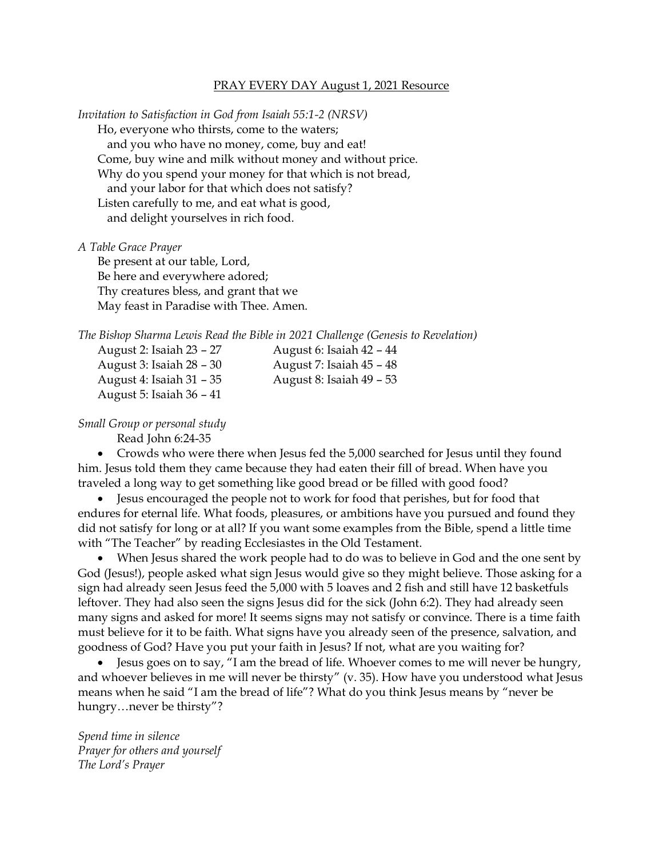## PRAY EVERY DAY August 1, 2021 Resource

*Invitation to Satisfaction in God from Isaiah 55:1-2 (NRSV)* Ho, everyone who thirsts, come to the waters; and you who have no money, come, buy and eat! Come, buy wine and milk without money and without price. Why do you spend your money for that which is not bread, and your labor for that which does not satisfy? Listen carefully to me, and eat what is good, and delight yourselves in rich food.

## *A Table Grace Prayer*

Be present at our table, Lord, Be here and everywhere adored; Thy creatures bless, and grant that we May feast in Paradise with Thee. Amen.

|  |  |  |  |  |  |  |  |  |  |  |  | The Bishop Sharma Lewis Read the Bible in 2021 Challenge (Genesis to Revelation) |
|--|--|--|--|--|--|--|--|--|--|--|--|----------------------------------------------------------------------------------|
|--|--|--|--|--|--|--|--|--|--|--|--|----------------------------------------------------------------------------------|

| August 2: Isaiah 23 – 27   | August 6: Isaiah 42 – 44 |
|----------------------------|--------------------------|
| August 3: Isaiah $28 - 30$ | August 7: Isaiah 45 – 48 |
| August 4: Isaiah 31 – 35   | August 8: Isaiah 49 – 53 |
| August 5: Isaiah 36 – 41   |                          |

*Small Group or personal study*

Read John 6:24-35

• Crowds who were there when Jesus fed the 5,000 searched for Jesus until they found him. Jesus told them they came because they had eaten their fill of bread. When have you traveled a long way to get something like good bread or be filled with good food?

• Jesus encouraged the people not to work for food that perishes, but for food that endures for eternal life. What foods, pleasures, or ambitions have you pursued and found they did not satisfy for long or at all? If you want some examples from the Bible, spend a little time with "The Teacher" by reading Ecclesiastes in the Old Testament.

• When Jesus shared the work people had to do was to believe in God and the one sent by God (Jesus!), people asked what sign Jesus would give so they might believe. Those asking for a sign had already seen Jesus feed the 5,000 with 5 loaves and 2 fish and still have 12 basketfuls leftover. They had also seen the signs Jesus did for the sick (John 6:2). They had already seen many signs and asked for more! It seems signs may not satisfy or convince. There is a time faith must believe for it to be faith. What signs have you already seen of the presence, salvation, and goodness of God? Have you put your faith in Jesus? If not, what are you waiting for?

• Jesus goes on to say, "I am the bread of life. Whoever comes to me will never be hungry, and whoever believes in me will never be thirsty" (v. 35). How have you understood what Jesus means when he said "I am the bread of life"? What do you think Jesus means by "never be hungry…never be thirsty"?

*Spend time in silence Prayer for others and yourself The Lord's Prayer*